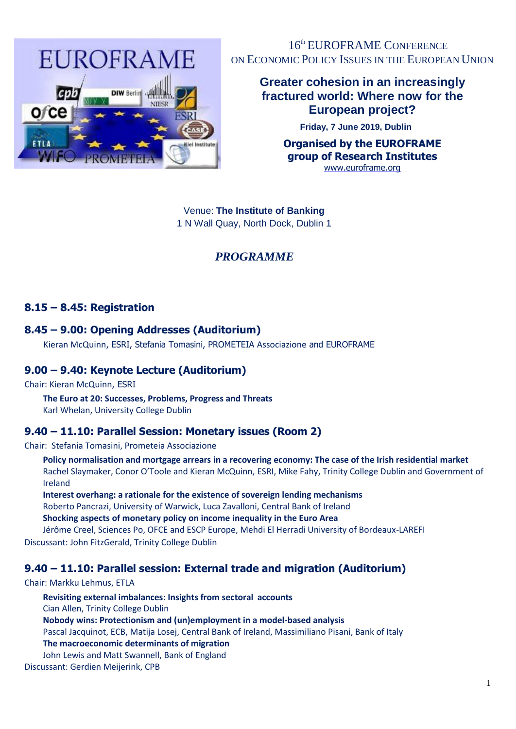

16<sup>th</sup> EUROFRAME CONFERENCE ON ECONOMIC POLICY ISSUES IN THE EUROPEAN UNION

### **Greater cohesion in an increasingly fractured world: Where now for the European project?**

**Friday, 7 June 2019, Dublin**

**Organised by the EUROFRAME group of Research Institutes**  [www.euroframe.org](http://www.euroframe.org/)

Venue: **The Institute of Banking**  1 N Wall Quay, North Dock, Dublin 1

# *PROGRAMME*

### **8.15 – 8.45: Registration**

#### **8.45 – 9.00: Opening Addresses (Auditorium)**

Kieran McQuinn, ESRI, Stefania Tomasini, PROMETEIA Associazione and EUROFRAME

### **9.00 – 9.40: Keynote Lecture (Auditorium)**

Chair: Kieran McQuinn, ESRI

# **The Euro at 20: Successes, Problems, Progress and Threats**

Karl Whelan, University College Dublin

### **9.40 – 11.10: Parallel Session: Monetary issues (Room 2)**

Chair: Stefania Tomasini, Prometeia Associazione

**Policy normalisation and mortgage arrears in a recovering economy: The case of the Irish residential market** Rachel Slaymaker, Conor O'Toole and Kieran McQuinn, ESRI, Mike Fahy, Trinity College Dublin and Government of Ireland

**Interest overhang: a rationale for the existence of sovereign lending mechanisms** Roberto Pancrazi, University of Warwick, Luca Zavalloni, Central Bank of Ireland **Shocking aspects of monetary policy on income inequality in the Euro Area**

Jérôme Creel, Sciences Po, OFCE and ESCP Europe, Mehdi El Herradi University of Bordeaux-LAREFI Discussant: John FitzGerald, Trinity College Dublin

# **9.40 – 11.10: Parallel session: External trade and migration (Auditorium)**

#### Chair: Markku Lehmus, ETLA

**Revisiting external imbalances: Insights from sectoral accounts**  Cian Allen, Trinity College Dublin **Nobody wins: Protectionism and (un)employment in a model-based analysis** Pascal Jacquinot, ECB, Matija Losej, Central Bank of Ireland, Massimiliano Pisani, Bank of Italy **The macroeconomic determinants of migration** John Lewis and Matt Swannell, Bank of England Discussant: Gerdien Meijerink, CPB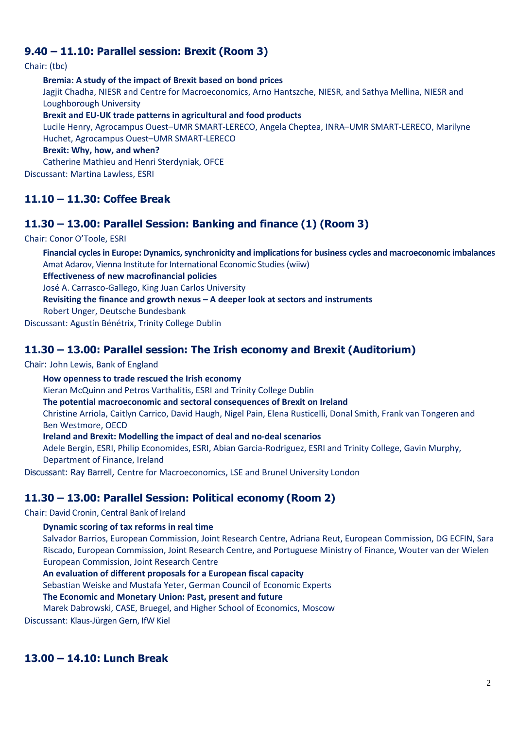### **9.40 – 11.10: Parallel session: Brexit (Room 3)**

Chair: (tbc)

**Bremia: A study of the impact of Brexit based on bond prices** Jagjit Chadha, NIESR and Centre for Macroeconomics, Arno Hantszche, NIESR, and Sathya Mellina, NIESR and Loughborough University **Brexit and EU-UK trade patterns in agricultural and food products** 

Lucile Henry, Agrocampus Ouest–UMR SMART-LERECO, Angela Cheptea, INRA–UMR SMART-LERECO, Marilyne Huchet, Agrocampus Ouest–UMR SMART-LERECO

**Brexit: Why, how, and when?**

Catherine Mathieu and Henri Sterdyniak, OFCE

Discussant: Martina Lawless, ESRI

# **11.10 – 11.30: Coffee Break**

### **11.30 – 13.00: Parallel Session: Banking and finance (1) (Room 3)**

Chair: Conor O'Toole, ESRI

**Financial cycles in Europe: Dynamics, synchronicity and implications for business cycles and macroeconomic imbalances** Amat Adarov, Vienna Institute for International Economic Studies (wiiw)

**Effectiveness of new macrofinancial policies**

José A. Carrasco-Gallego, King Juan Carlos University

**Revisiting the finance and growth nexus – A deeper look at sectors and instruments**

Robert Unger, Deutsche Bundesbank

Discussant: Agustín Bénétrix, Trinity College Dublin

#### **11.30 – 13.00: Parallel session: The Irish economy and Brexit (Auditorium)**

Chair: John Lewis, Bank of England

**How openness to trade rescued the Irish economy**

Kieran McQuinn and Petros Varthalitis, ESRI and Trinity College Dublin

**The potential macroeconomic and sectoral consequences of Brexit on Ireland**

Christine Arriola, Caitlyn Carrico, David Haugh, Nigel Pain, Elena Rusticelli, Donal Smith, Frank van Tongeren and Ben Westmore, OECD

**Ireland and Brexit: Modelling the impact of deal and no-deal scenarios**

Adele Bergin, ESRI, Philip Economides, ESRI, Abian Garcia-Rodriguez, ESRI and Trinity College, Gavin Murphy, Department of Finance, Ireland

Discussant: Ray Barrell, Centre for Macroeconomics, LSE and Brunel University London

# **11.30 – 13.00: Parallel Session: Political economy (Room 2)**

Chair: David Cronin, Central Bank of Ireland

#### **Dynamic scoring of tax reforms in real time**

Salvador Barrios, European Commission, Joint Research Centre, Adriana Reut, European Commission, DG ECFIN, Sara Riscado, European Commission, Joint Research Centre, and Portuguese Ministry of Finance, Wouter van der Wielen European Commission, Joint Research Centre

#### **An evaluation of different proposals for a European fiscal capacity**

Sebastian Weiske and Mustafa Yeter, German Council of Economic Experts

#### **The Economic and Monetary Union: Past, present and future**

Marek Dabrowski, CASE, Bruegel, and Higher School of Economics, Moscow

Discussant: Klaus-Jürgen Gern, IfW Kiel

# **13.00 – 14.10: Lunch Break**